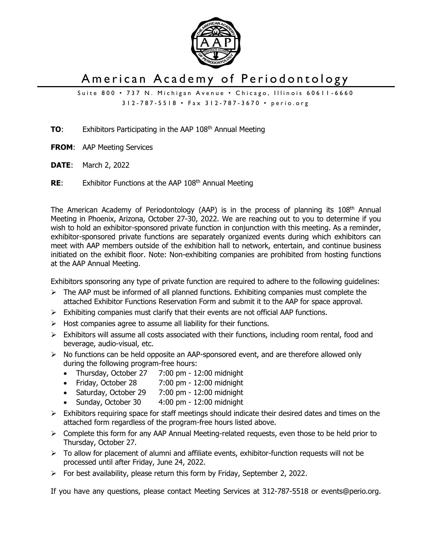

## American Academy of Periodontology

Suite 800 • 737 N. Michigan Avenue • Chicago, Illinois 60611-6660 312 - 787 - 5518 • Fax 312 - 787 - 3670 • perio.org

**TO**: Exhibitors Participating in the AAP 108<sup>th</sup> Annual Meeting

- **FROM**: AAP Meeting Services
- **DATE**: March 2, 2022
- **RE:** Exhibitor Functions at the AAP 108<sup>th</sup> Annual Meeting

The American Academy of Periodontology (AAP) is in the process of planning its 108<sup>th</sup> Annual Meeting in Phoenix, Arizona, October 27-30, 2022. We are reaching out to you to determine if you wish to hold an exhibitor-sponsored private function in conjunction with this meeting. As a reminder, exhibitor-sponsored private functions are separately organized events during which exhibitors can meet with AAP members outside of the exhibition hall to network, entertain, and continue business initiated on the exhibit floor. Note: Non-exhibiting companies are prohibited from hosting functions at the AAP Annual Meeting.

Exhibitors sponsoring any type of private function are required to adhere to the following guidelines:

- $\triangleright$  The AAP must be informed of all planned functions. Exhibiting companies must complete the attached Exhibitor Functions Reservation Form and submit it to the AAP for space approval.
- $\triangleright$  Exhibiting companies must clarify that their events are not official AAP functions.
- $\triangleright$  Host companies agree to assume all liability for their functions.
- $\triangleright$  Exhibitors will assume all costs associated with their functions, including room rental, food and beverage, audio-visual, etc.
- $\triangleright$  No functions can be held opposite an AAP-sponsored event, and are therefore allowed only during the following program-free hours:
	- Thursday, October 27 7:00 pm 12:00 midnight
	- Friday, October 28 7:00 pm 12:00 midnight
	- Saturday, October 29 7:00 pm 12:00 midnight
	- Sunday, October 30 4:00 pm 12:00 midnight
- $\triangleright$  Exhibitors requiring space for staff meetings should indicate their desired dates and times on the attached form regardless of the program-free hours listed above.
- $\triangleright$  Complete this form for any AAP Annual Meeting-related requests, even those to be held prior to Thursday, October 27.
- $\triangleright$  To allow for placement of alumni and affiliate events, exhibitor-function requests will not be processed until after Friday, June 24, 2022.
- ➢ For best availability, please return this form by Friday, September 2, 2022.

If you have any questions, please contact Meeting Services at 312-787-5518 or events@perio.org.